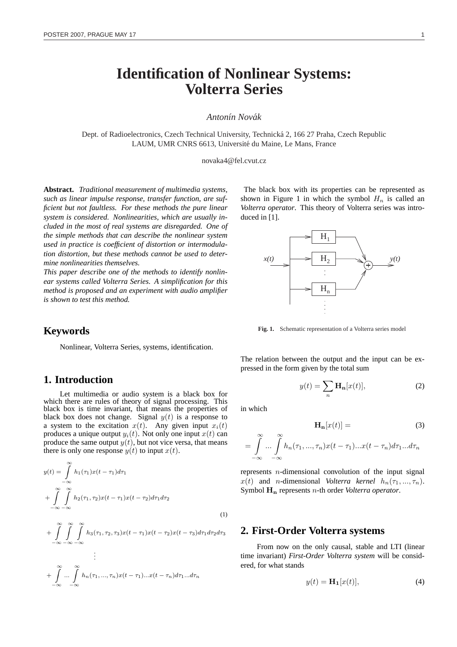# **Identification of Nonlinear Systems: Volterra Series**

#### *Anton´ın Novak´*

Dept. of Radioelectronics, Czech Technical University, Technicka 2, 166 27 Praha, Czech Republic ´ LAUM, UMR CNRS 6613, Université du Maine, Le Mans, France

novaka4@fel.cvut.cz

**Abstract.** *Traditional measurement of multimedia systems, such as linear impulse response, transfer function, are sufficient but not faultless. For these methods the pure linear system is considered. Nonlinearities, which are usually included in the most of real systems are disregarded. One of the simple methods that can describe the nonlinear system used in practice is coefficient of distortion or intermodulation distortion, but these methods cannot be used to determine nonlinearities themselves.*

*This paper describe one of the methods to identify nonlinear systems called Volterra Series. A simplification for this method is proposed and an experiment with audio amplifier is shown to test this method.*

## **Keywords**

Nonlinear, Volterra Series, systems, identification.

## **1. Introduction**

Let multimedia or audio system is a black box for which there are rules of theory of signal processing. This black box is time invariant, that means the properties of black box does not change. Signal  $y(t)$  is a response to a system to the excitation  $x(t)$ . Any given input  $x_i(t)$ produces a unique output  $y_i(t)$ . Not only one input  $x(t)$  can produce the same output  $y(t)$ , but not vice versa, that means there is only one response  $y(t)$  to input  $x(t)$ .

$$
y(t) = \int_{-\infty}^{\infty} h_1(\tau_1) x(t - \tau_1) d\tau_1
$$
  
+ 
$$
\int_{-\infty}^{\infty} \int_{-\infty}^{\infty} h_2(\tau_1, \tau_2) x(t - \tau_1) x(t - \tau_2) d\tau_1 d\tau_2
$$
  
+ 
$$
\int_{-\infty}^{\infty} \int_{-\infty}^{\infty} \int_{h_3(\tau_1, \tau_2, \tau_3) x(t - \tau_1) x(t - \tau_2) x(t - \tau_3) d\tau_1 d\tau_2 d\tau_3
$$
 (1)

$$
\int_{-\infty}^{\infty} \int_{-\infty}^{\infty} \int_{-\infty}^{\infty} h_n(\tau_1, ..., \tau_n) x(t - \tau_1)...x(t - \tau_n) d\tau_1... d\tau_n
$$

The black box with its properties can be represented as shown in Figure 1 in which the symbol  $H_n$  is called an *Volterra operator*. This theory of Volterra series was introduced in [1].



**Fig. 1.** Schematic representation of a Volterra series model

The relation between the output and the input can be expressed in the form given by the total sum

$$
y(t) = \sum_{n} \mathbf{H}_{n}[x(t)], \qquad (2)
$$

in which

$$
\mathbf{H}_{\mathbf{n}}[x(t)] = \tag{3}
$$

$$
= \int_{-\infty}^{\infty} \dots \int_{-\infty}^{\infty} h_n(\tau_1, \dots, \tau_n) x(t - \tau_1) \dots x(t - \tau_n) d\tau_1 \dots d\tau_n
$$

represents  $n$ -dimensional convolution of the input signal  $x(t)$  and *n*-dimensional *Volterra kernel*  $h_n(\tau_1, ..., \tau_n)$ . Symbol H<sup>n</sup> represents n-th order *Volterra operator*.

#### **2. First-Order Volterra systems**

From now on the only causal, stable and LTI (linear time invariant) *First-Order Volterra system* will be considered, for what stands

$$
y(t) = \mathbf{H}_1[x(t)],\tag{4}
$$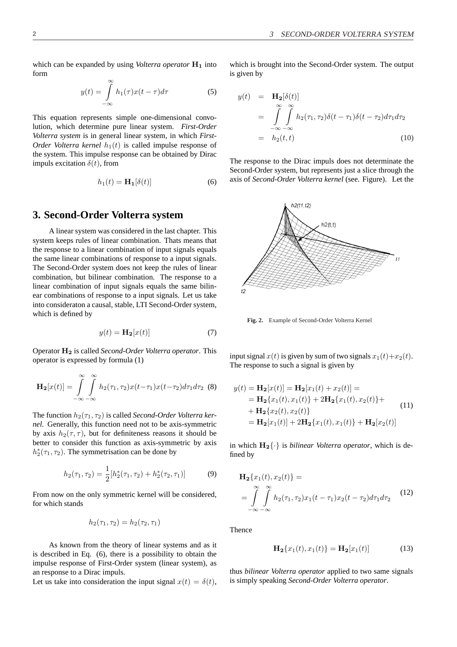which can be expanded by using *Volterra operator*  $H_1$  into form

$$
y(t) = \int_{-\infty}^{\infty} h_1(\tau) x(t - \tau) d\tau
$$
 (5)

This equation represents simple one-dimensional convolution, which determine pure linear system. *First-Order Volterra system* is in general linear system, in which *First-Order Volterra kernel*  $h_1(t)$  is called impulse response of the system. This impulse response can be obtained by Dirac impuls excitation  $\delta(t)$ , from

$$
h_1(t) = \mathbf{H}_1[\delta(t)]\tag{6}
$$

#### **3. Second-Order Volterra system**

A linear system was considered in the last chapter. This system keeps rules of linear combination. Thats means that the response to a linear combination of input signals equals the same linear combinations of response to a input signals. The Second-Order system does not keep the rules of linear combination, but bilinear combination. The response to a linear combination of input signals equals the same bilinear combinations of response to a input signals. Let us take into consideraton a causal, stable, LTI Second-Order system, which is defined by

$$
y(t) = \mathbf{H}_2[x(t)]\tag{7}
$$

Operator H<sup>2</sup> is called *Second-Order Volterra operator*. This operator is expressed by formula (1)

$$
\mathbf{H}_2[x(t)] = \int_{-\infty}^{\infty} \int_{-\infty}^{\infty} h_2(\tau_1, \tau_2) x(t - \tau_1) x(t - \tau_2) d\tau_1 d\tau_2
$$
 (8)

The function  $h_2(\tau_1, \tau_2)$  is called *Second-Order Volterra kernel*. Generally, this function need not to be axis-symmetric by axis  $h_2(\tau, \tau)$ , but for definiteness reasons it should be better to consider this function as axis-symmetric by axis  $h_2^*(\tau_1, \tau_2)$ . The symmetrisation can be done by

$$
h_2(\tau_1, \tau_2) = \frac{1}{2} [h_2^*(\tau_1, \tau_2) + h_2^*(\tau_2, \tau_1)] \tag{9}
$$

From now on the only symmetric kernel will be considered, for which stands

$$
h_2(\tau_1, \tau_2) = h_2(\tau_2, \tau_1)
$$

As known from the theory of linear systems and as it is described in Eq. (6), there is a possibility to obtain the impulse response of First-Order system (linear system), as an response to a Dirac impuls.

Let us take into consideration the input signal  $x(t) = \delta(t)$ ,

which is brought into the Second-Order system. The output is given by

$$
y(t) = \mathbf{H}_2[\delta(t)]
$$
  
= 
$$
\int_{-\infty}^{\infty} \int_{-\infty}^{\infty} h_2(\tau_1, \tau_2) \delta(t - \tau_1) \delta(t - \tau_2) d\tau_1 d\tau_2
$$
  
= 
$$
h_2(t, t) \tag{10}
$$

The response to the Dirac impuls does not determinate the Second-Order system, but represents just a slice through the axis of *Second-Order Volterra kernel* (see. Figure). Let the



**Fig. 2.** Example of Second-Order Volterra Kernel

input signal  $x(t)$  is given by sum of two signals  $x_1(t)+x_2(t)$ . The response to such a signal is given by

$$
y(t) = \mathbf{H}_2[x(t)] = \mathbf{H}_2[x_1(t) + x_2(t)] =
$$
  
=  $\mathbf{H}_2\{x_1(t), x_1(t)\} + 2\mathbf{H}_2\{x_1(t), x_2(t)\} +$   
+  $\mathbf{H}_2\{x_2(t), x_2(t)\}$   
=  $\mathbf{H}_2[x_1(t)] + 2\mathbf{H}_2\{x_1(t), x_1(t)\} + \mathbf{H}_2[x_2(t)]$  (11)

in which  $H_2\{\cdot\}$  is *bilinear Volterra operator*, which is defined by

$$
\mathbf{H}_2\{x_1(t), x_2(t)\} =\n\int_{-\infty}^{\infty} \int_{-\infty}^{\infty} h_2(\tau_1, \tau_2) x_1(t - \tau_1) x_2(t - \tau_2) d\tau_1 d\tau_2
$$
\n(12)

**Thence** 

$$
\mathbf{H}_2\{x_1(t), x_1(t)\} = \mathbf{H}_2[x_1(t)]\tag{13}
$$

thus *bilinear Volterra operator* applied to two same signals is simply speaking *Second-Order Volterra operator*.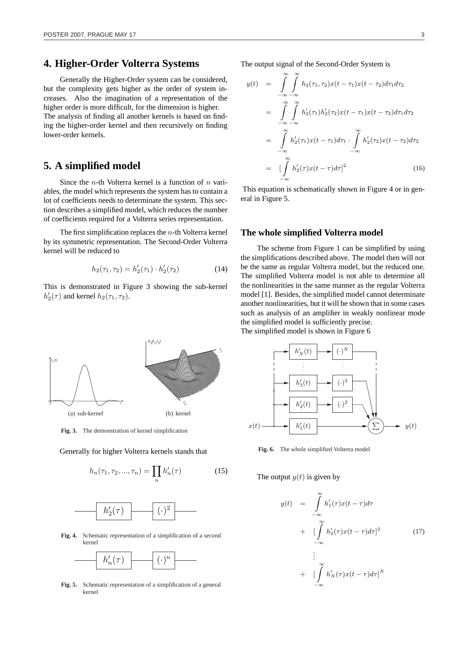# **4. Higher-Order Volterra Systems**

Generally the Higher-Order system can be considered, but the complexity gets higher as the order of system increases. Also the imagination of a representation of the higher order is more difficult, for the dimension is higher. The analysis of finding all another kernels is based on finding the higher-order kernel and then recursively on finding lower-order kernels.

## **5. A simplified model**

Since the *n*-th Volterra kernel is a function of *n* variables, the model which represents the system has to contain a lot of coefficients needs to determinate the system. This section describes a simplified model, which reduces the number of coefficients required for a Volterra series representation.

The first simplification replaces the  $n$ -th Volterra kernel by its symmetric representation. The Second-Order Volterra kernel will be reduced to

$$
h_2(\tau_1, \tau_2) = h'_2(\tau_1) \cdot h'_2(\tau_2)
$$
 (14)

This is demonstrated in Figure 3 showing the sub-kernel  $h'_2(\tau)$  and kernel  $h_2(\tau_1, \tau_2)$ .



**Fig. 3.** The demonstration of kernel simplification

Generally for higher Volterra kernels stands that

$$
h_n(\tau_1, \tau_2, ..., \tau_n) = \prod_n h'_n(\tau) \tag{15}
$$



**Fig. 4.** Schematic representation of a simplification of a second kernel



**Fig. 5.** Schematic representation of a simplification of a general kernel

The output signal of the Second-Order System is

$$
y(t) = \int_{-\infty}^{\infty} \int_{-\infty}^{\infty} h_2(\tau_1, \tau_2) x(t - \tau_1) x(t - \tau_2) d\tau_1 d\tau_2
$$
  
\n
$$
= \int_{-\infty}^{\infty} \int_{-\infty}^{\infty} h'_2(\tau_1) h'_2(\tau_2) x(t - \tau_1) x(t - \tau_2) d\tau_1 d\tau_2
$$
  
\n
$$
= \int_{-\infty}^{\infty} h'_2(\tau_1) x(t - \tau_1) d\tau_1 \cdot \int_{-\infty}^{\infty} h'_2(\tau_2) x(t - \tau_2) d\tau_2
$$
  
\n
$$
= \left[ \int_{-\infty}^{\infty} h'_2(\tau) x(t - \tau) d\tau \right]^2
$$
(16)

This equation is schematically shown in Figure 4 or in general in Figure 5.

#### **The whole simplified Volterra model**

The scheme from Figure 1 can be simplified by using the simplifications described above. The model then will not be the same as regular Volterra model, but the reduced one. The simplified Volterra model is not able to determine all the nonlinearities in the same manner as the regular Volterra model [1]. Besides, the simplified model cannot determinate another nonlinearities, but it will be shown that in some cases such as analysis of an amplifier in weakly nonlinear mode the simplified model is sufficiently precise. The simplified model is shown in Figure 6



**Fig. 6.** The whole simplified Volterra model

#### The output  $y(t)$  is given by

$$
y(t) = \int_{-\infty}^{\infty} h'_1(\tau) x(t-\tau) d\tau
$$
  
+ 
$$
\left[ \int_{-\infty}^{\infty} h'_2(\tau) x(t-\tau) d\tau \right]^2
$$
  

$$
\vdots
$$
  
+ 
$$
\left[ \int_{-\infty}^{\infty} h'_N(\tau) x(t-\tau) d\tau \right]^N
$$
 (17)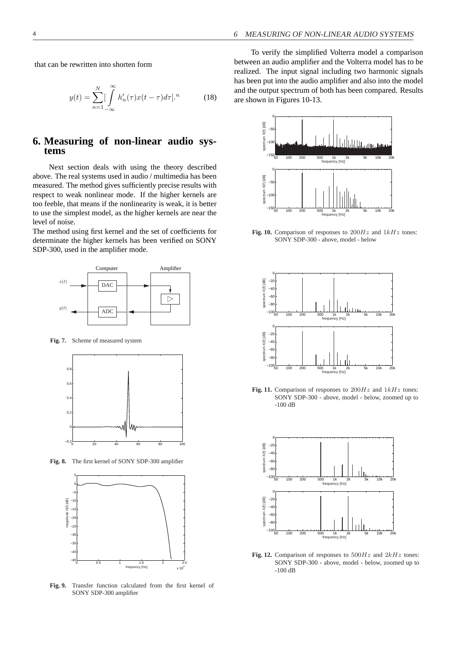that can be rewritten into shorten form

$$
y(t) = \sum_{n=1}^{N} \left[ \int_{-\infty}^{\infty} h'_n(\tau) x(t-\tau) d\tau \right]^{n} \tag{18}
$$

## **6. Measuring of non-linear audio systems**

Next section deals with using the theory described above. The real systems used in audio / multimedia has been measured. The method gives sufficiently precise results with respect to weak nonlinear mode. If the higher kernels are too feeble, that means if the nonlinearity is weak, it is better to use the simplest model, as the higher kernels are near the level of noise.

The method using first kernel and the set of coefficients for determinate the higher kernels has been verified on SONY SDP-300, used in the amplifier mode.



**Fig. 7.** Scheme of measured system



**Fig. 8.** The first kernel of SONY SDP-300 amplifier



**Fig. 9.** Transfer function calculated from the first kernel of SONY SDP-300 amplifier

To verify the simplified Volterra model a comparison between an audio amplifier and the Volterra model has to be realized. The input signal including two harmonic signals has been put into the audio amplifier and also into the model and the output spectrum of both has been compared. Results are shown in Figures 10-13.



Fig. 10. Comparison of responses to  $200Hz$  and  $1kHz$  tones: SONY SDP-300 - above, model - below



Fig. 11. Comparison of responses to  $200Hz$  and  $1kHz$  tones: SONY SDP-300 - above, model - below, zoomed up to -100 dB



**Fig. 12.** Comparison of responses to  $500Hz$  and  $2kHz$  tones: SONY SDP-300 - above, model - below, zoomed up to -100 dB